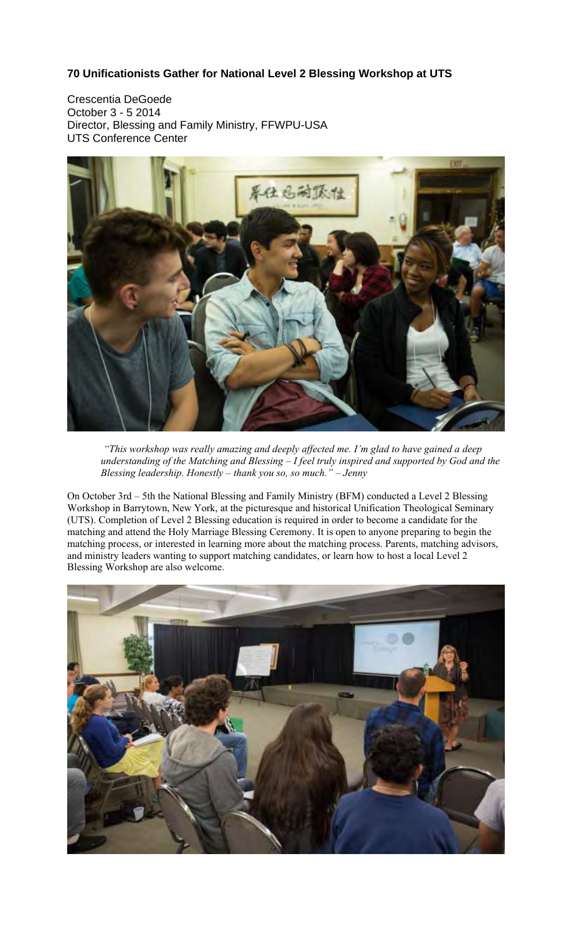## **70 Unificationists Gather for National Level 2 Blessing Workshop at UTS**

Crescentia DeGoede October 3 - 5 2014 Director, Blessing and Family Ministry, FFWPU-USA UTS Conference Center



 *"This workshop was really amazing and deeply affected me. I'm glad to have gained a deep understanding of the Matching and Blessing – I feel truly inspired and supported by God and the Blessing leadership. Honestly – thank you so, so much." – Jenny* 

On October 3rd – 5th the National Blessing and Family Ministry (BFM) conducted a Level 2 Blessing Workshop in Barrytown, New York, at the picturesque and historical Unification Theological Seminary (UTS). Completion of Level 2 Blessing education is required in order to become a candidate for the matching and attend the Holy Marriage Blessing Ceremony. It is open to anyone preparing to begin the matching process, or interested in learning more about the matching process. Parents, matching advisors, and ministry leaders wanting to support matching candidates, or learn how to host a local Level 2 Blessing Workshop are also welcome.

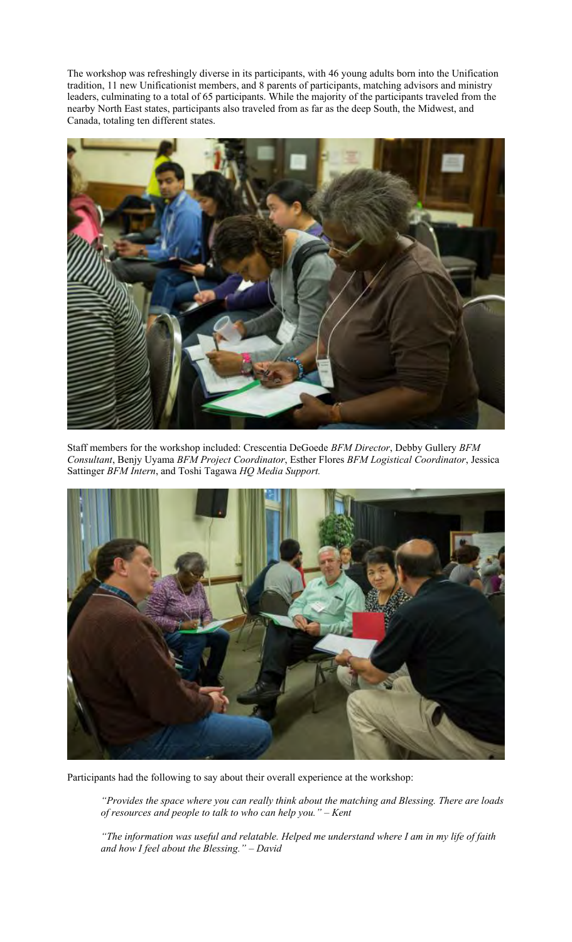The workshop was refreshingly diverse in its participants, with 46 young adults born into the Unification tradition, 11 new Unificationist members, and 8 parents of participants, matching advisors and ministry leaders, culminating to a total of 65 participants. While the majority of the participants traveled from the nearby North East states, participants also traveled from as far as the deep South, the Midwest, and Canada, totaling ten different states.



Staff members for the workshop included: Crescentia DeGoede *BFM Director*, Debby Gullery *BFM Consultant*, Benjy Uyama *BFM Project Coordinator*, Esther Flores *BFM Logistical Coordinator*, Jessica Sattinger *BFM Intern*, and Toshi Tagawa *HQ Media Support.* 



Participants had the following to say about their overall experience at the workshop:

*"Provides the space where you can really think about the matching and Blessing. There are loads of resources and people to talk to who can help you." – Kent* 

*"The information was useful and relatable. Helped me understand where I am in my life of faith and how I feel about the Blessing." – David*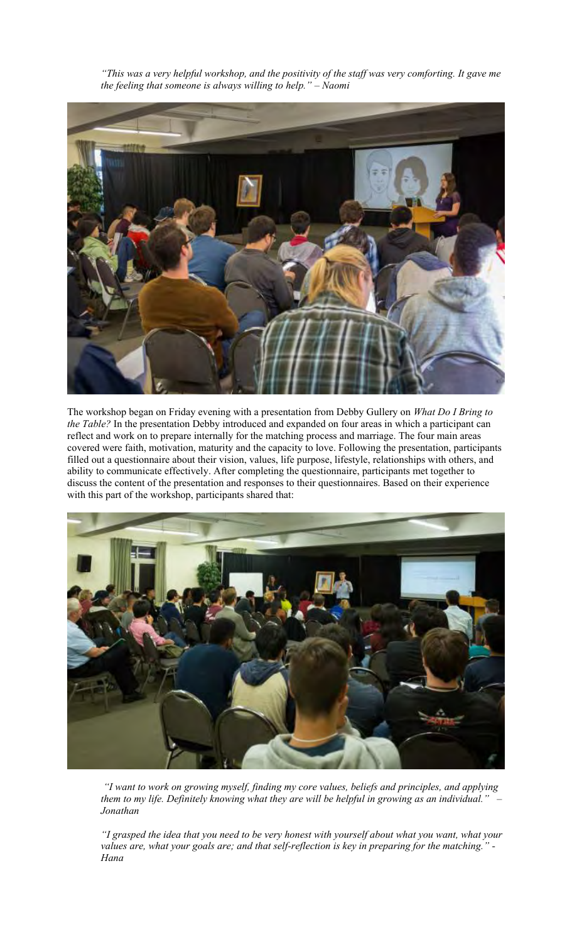*"This was a very helpful workshop, and the positivity of the staff was very comforting. It gave me the feeling that someone is always willing to help." – Naomi* 



The workshop began on Friday evening with a presentation from Debby Gullery on *What Do I Bring to the Table?* In the presentation Debby introduced and expanded on four areas in which a participant can reflect and work on to prepare internally for the matching process and marriage. The four main areas covered were faith, motivation, maturity and the capacity to love. Following the presentation, participants filled out a questionnaire about their vision, values, life purpose, lifestyle, relationships with others, and ability to communicate effectively. After completing the questionnaire, participants met together to discuss the content of the presentation and responses to their questionnaires. Based on their experience with this part of the workshop, participants shared that:



 *"I want to work on growing myself, finding my core values, beliefs and principles, and applying them to my life. Definitely knowing what they are will be helpful in growing as an individual." – Jonathan* 

*"I grasped the idea that you need to be very honest with yourself about what you want, what your values are, what your goals are; and that self-reflection is key in preparing for the matching." - Hana*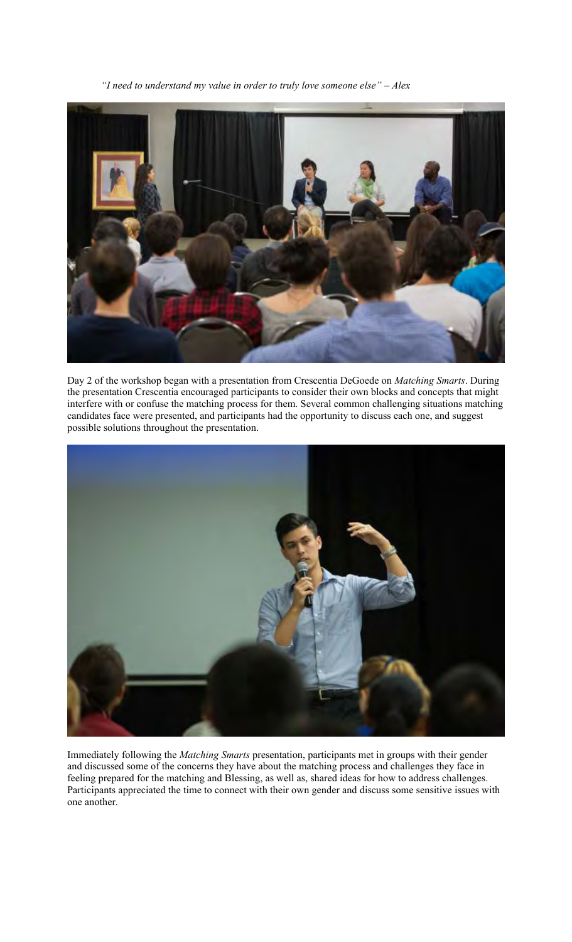*"I need to understand my value in order to truly love someone else" – Alex* 



Day 2 of the workshop began with a presentation from Crescentia DeGoede on *Matching Smarts*. During the presentation Crescentia encouraged participants to consider their own blocks and concepts that might interfere with or confuse the matching process for them. Several common challenging situations matching candidates face were presented, and participants had the opportunity to discuss each one, and suggest possible solutions throughout the presentation.



Immediately following the *Matching Smarts* presentation, participants met in groups with their gender and discussed some of the concerns they have about the matching process and challenges they face in feeling prepared for the matching and Blessing, as well as, shared ideas for how to address challenges. Participants appreciated the time to connect with their own gender and discuss some sensitive issues with one another.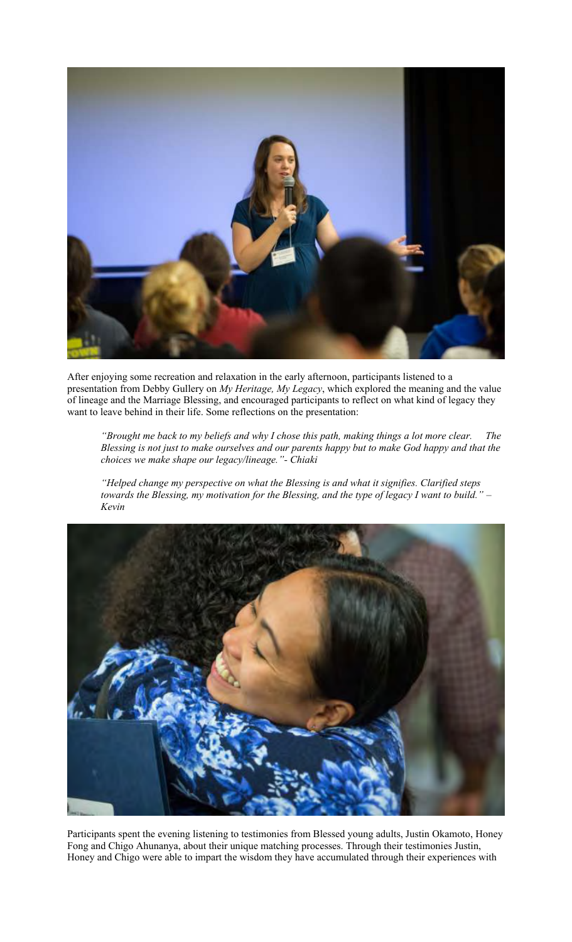

After enjoying some recreation and relaxation in the early afternoon, participants listened to a presentation from Debby Gullery on *My Heritage, My Legacy*, which explored the meaning and the value of lineage and the Marriage Blessing, and encouraged participants to reflect on what kind of legacy they want to leave behind in their life. Some reflections on the presentation:

*"Brought me back to my beliefs and why I chose this path, making things a lot more clear. The Blessing is not just to make ourselves and our parents happy but to make God happy and that the choices we make shape our legacy/lineage."- Chiaki* 

*"Helped change my perspective on what the Blessing is and what it signifies. Clarified steps towards the Blessing, my motivation for the Blessing, and the type of legacy I want to build." – Kevin* 



Participants spent the evening listening to testimonies from Blessed young adults, Justin Okamoto, Honey Fong and Chigo Ahunanya, about their unique matching processes. Through their testimonies Justin, Honey and Chigo were able to impart the wisdom they have accumulated through their experiences with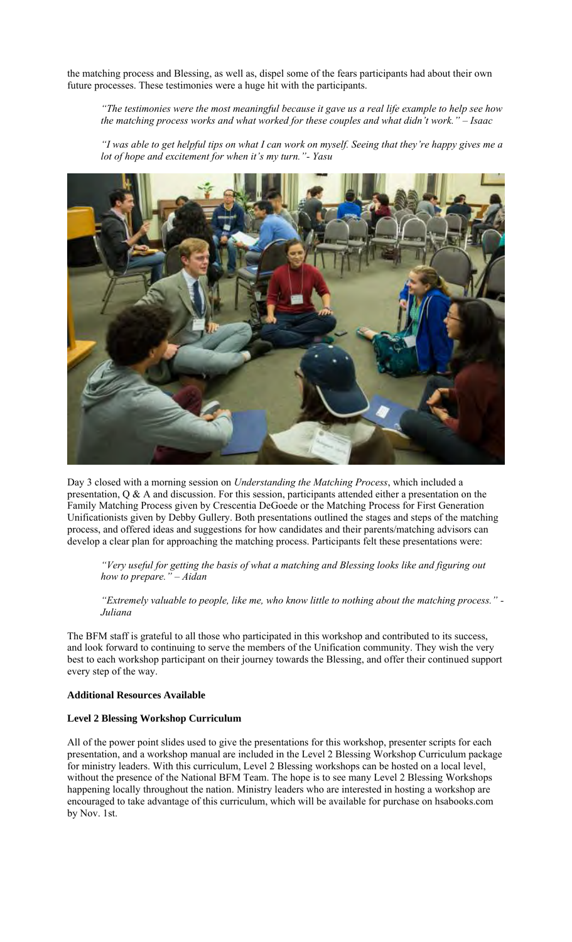the matching process and Blessing, as well as, dispel some of the fears participants had about their own future processes. These testimonies were a huge hit with the participants.

*"The testimonies were the most meaningful because it gave us a real life example to help see how the matching process works and what worked for these couples and what didn't work." – Isaac* 

*"I was able to get helpful tips on what I can work on myself. Seeing that they're happy gives me a lot of hope and excitement for when it's my turn."- Yasu* 



Day 3 closed with a morning session on *Understanding the Matching Process*, which included a presentation, Q & A and discussion. For this session, participants attended either a presentation on the Family Matching Process given by Crescentia DeGoede or the Matching Process for First Generation Unificationists given by Debby Gullery. Both presentations outlined the stages and steps of the matching process, and offered ideas and suggestions for how candidates and their parents/matching advisors can develop a clear plan for approaching the matching process. Participants felt these presentations were:

*"Very useful for getting the basis of what a matching and Blessing looks like and figuring out how to prepare." – Aidan* 

*"Extremely valuable to people, like me, who know little to nothing about the matching process." - Juliana* 

The BFM staff is grateful to all those who participated in this workshop and contributed to its success, and look forward to continuing to serve the members of the Unification community. They wish the very best to each workshop participant on their journey towards the Blessing, and offer their continued support every step of the way.

## **Additional Resources Available**

## **Level 2 Blessing Workshop Curriculum**

All of the power point slides used to give the presentations for this workshop, presenter scripts for each presentation, and a workshop manual are included in the Level 2 Blessing Workshop Curriculum package for ministry leaders. With this curriculum, Level 2 Blessing workshops can be hosted on a local level, without the presence of the National BFM Team. The hope is to see many Level 2 Blessing Workshops happening locally throughout the nation. Ministry leaders who are interested in hosting a workshop are encouraged to take advantage of this curriculum, which will be available for purchase on hsabooks.com by Nov. 1st.